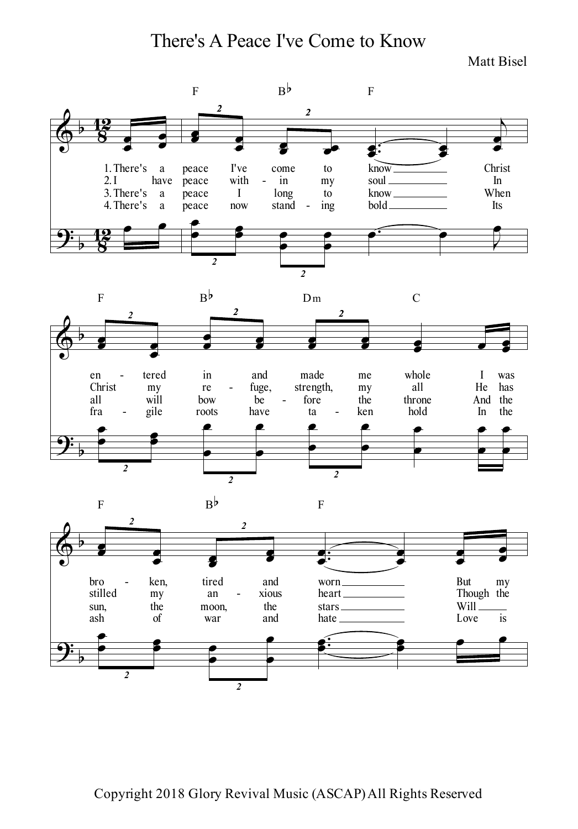There's A Peace I've Come to Know

Matt Bisel

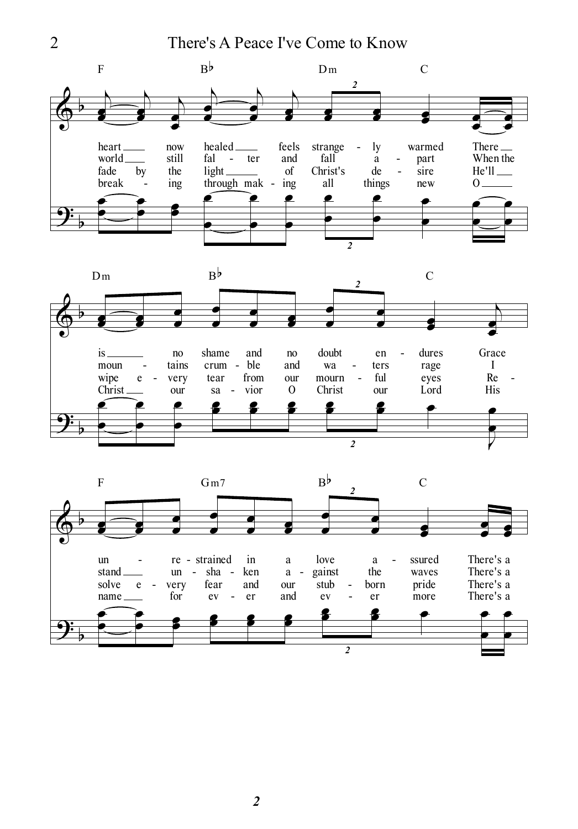2 There's A Peace I've Come to Know